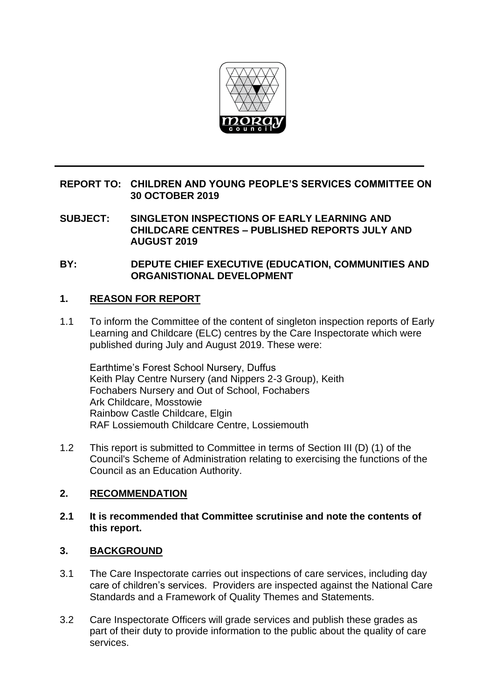

# **REPORT TO: CHILDREN AND YOUNG PEOPLE'S SERVICES COMMITTEE ON 30 OCTOBER 2019**

**SUBJECT: SINGLETON INSPECTIONS OF EARLY LEARNING AND CHILDCARE CENTRES – PUBLISHED REPORTS JULY AND AUGUST 2019**

**BY: DEPUTE CHIEF EXECUTIVE (EDUCATION, COMMUNITIES AND ORGANISTIONAL DEVELOPMENT**

## **1. REASON FOR REPORT**

1.1 To inform the Committee of the content of singleton inspection reports of Early Learning and Childcare (ELC) centres by the Care Inspectorate which were published during July and August 2019. These were:

Earthtime's Forest School Nursery, Duffus Keith Play Centre Nursery (and Nippers 2-3 Group), Keith Fochabers Nursery and Out of School, Fochabers Ark Childcare, Mosstowie Rainbow Castle Childcare, Elgin RAF Lossiemouth Childcare Centre, Lossiemouth

1.2 This report is submitted to Committee in terms of Section III (D) (1) of the Council's Scheme of Administration relating to exercising the functions of the Council as an Education Authority.

#### **2. RECOMMENDATION**

## **2.1 It is recommended that Committee scrutinise and note the contents of this report.**

# **3. BACKGROUND**

- 3.1 The Care Inspectorate carries out inspections of care services, including day care of children's services. Providers are inspected against the National Care Standards and a Framework of Quality Themes and Statements.
- 3.2 Care Inspectorate Officers will grade services and publish these grades as part of their duty to provide information to the public about the quality of care services.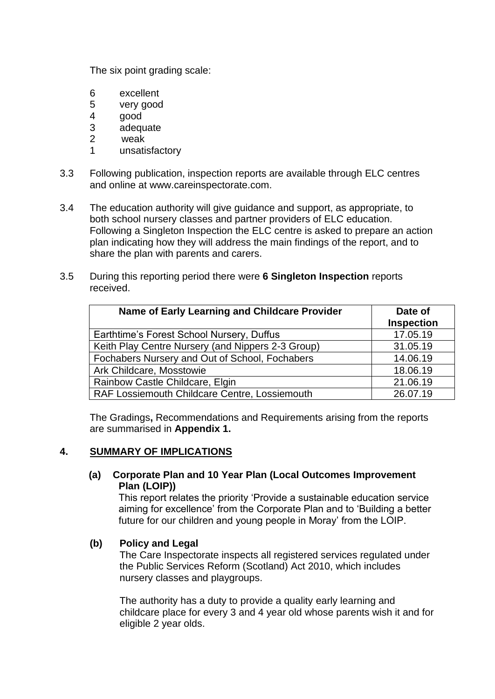The six point grading scale:

- 6 excellent
- 5 very good
- 4 good
- 3 adequate
- 2 weak
- 1 unsatisfactory
- 3.3 Following publication, inspection reports are available through ELC centres and online at www.careinspectorate.com.
- 3.4 The education authority will give guidance and support, as appropriate, to both school nursery classes and partner providers of ELC education. Following a Singleton Inspection the ELC centre is asked to prepare an action plan indicating how they will address the main findings of the report, and to share the plan with parents and carers.
- 3.5 During this reporting period there were **6 Singleton Inspection** reports received.

| Name of Early Learning and Childcare Provider     | Date of<br><b>Inspection</b> |
|---------------------------------------------------|------------------------------|
| Earthtime's Forest School Nursery, Duffus         | 17.05.19                     |
| Keith Play Centre Nursery (and Nippers 2-3 Group) | 31.05.19                     |
| Fochabers Nursery and Out of School, Fochabers    | 14.06.19                     |
| Ark Childcare, Mosstowie                          | 18.06.19                     |
| Rainbow Castle Childcare, Elgin                   | 21.06.19                     |
| RAF Lossiemouth Childcare Centre, Lossiemouth     | 26.07.19                     |

The Gradings**,** Recommendations and Requirements arising from the reports are summarised in **Appendix 1.**

### **4. SUMMARY OF IMPLICATIONS**

#### **(a) Corporate Plan and 10 Year Plan (Local Outcomes Improvement Plan (LOIP))**

This report relates the priority 'Provide a sustainable education service aiming for excellence' from the Corporate Plan and to 'Building a better future for our children and young people in Moray' from the LOIP.

#### **(b) Policy and Legal**

The Care Inspectorate inspects all registered services regulated under the Public Services Reform (Scotland) Act 2010, which includes nursery classes and playgroups.

The authority has a duty to provide a quality early learning and childcare place for every 3 and 4 year old whose parents wish it and for eligible 2 year olds.